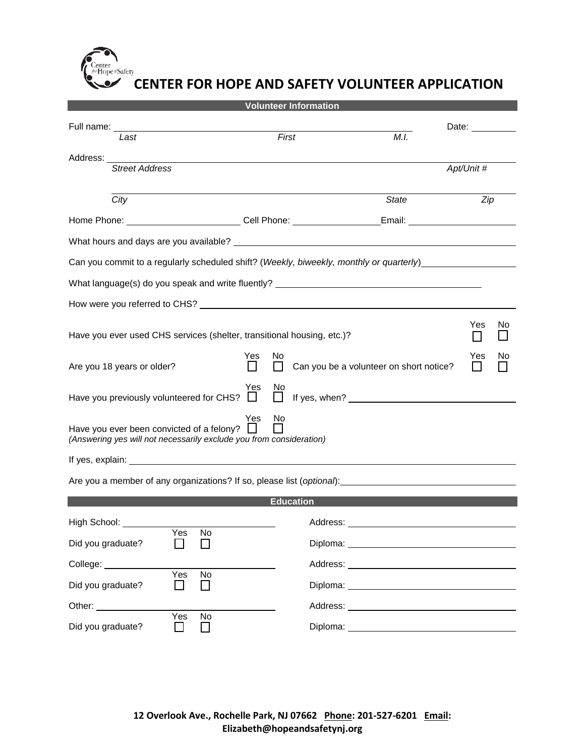&Safety

## **CENTER FOR HOPE AND SAFETY VOLUNTEER APPLICATION**

| <b>Volunteer Information</b>                                                                                     |                     |                                                                                                                                                                                                                                |                                                                                                                                                                                                                                |    |  |  |
|------------------------------------------------------------------------------------------------------------------|---------------------|--------------------------------------------------------------------------------------------------------------------------------------------------------------------------------------------------------------------------------|--------------------------------------------------------------------------------------------------------------------------------------------------------------------------------------------------------------------------------|----|--|--|
| Last                                                                                                             | First               | M.I.                                                                                                                                                                                                                           | Date: and the set of the set of the set of the set of the set of the set of the set of the set of the set of the set of the set of the set of the set of the set of the set of the set of the set of the set of the set of the |    |  |  |
|                                                                                                                  |                     |                                                                                                                                                                                                                                |                                                                                                                                                                                                                                |    |  |  |
| <b>Street Address</b>                                                                                            |                     |                                                                                                                                                                                                                                | Apt/Unit #                                                                                                                                                                                                                     |    |  |  |
|                                                                                                                  |                     |                                                                                                                                                                                                                                |                                                                                                                                                                                                                                |    |  |  |
| City                                                                                                             |                     | <b>State</b>                                                                                                                                                                                                                   | Zip                                                                                                                                                                                                                            |    |  |  |
| Home Phone: ___________________________Cell Phone: ______________________________                                |                     |                                                                                                                                                                                                                                |                                                                                                                                                                                                                                |    |  |  |
|                                                                                                                  |                     |                                                                                                                                                                                                                                |                                                                                                                                                                                                                                |    |  |  |
| Can you commit to a regularly scheduled shift? (Weekly, biweekly, monthly or quarterly)_                         |                     |                                                                                                                                                                                                                                |                                                                                                                                                                                                                                |    |  |  |
| What language(s) do you speak and write fluently? ______________________________                                 |                     |                                                                                                                                                                                                                                |                                                                                                                                                                                                                                |    |  |  |
|                                                                                                                  |                     |                                                                                                                                                                                                                                |                                                                                                                                                                                                                                |    |  |  |
| Have you ever used CHS services (shelter, transitional housing, etc.)?                                           |                     |                                                                                                                                                                                                                                | Yes                                                                                                                                                                                                                            | No |  |  |
| Are you 18 years or older?                                                                                       | Yes<br>No           | Can you be a volunteer on short notice?                                                                                                                                                                                        | Yes                                                                                                                                                                                                                            | No |  |  |
| Have you previously volunteered for CHS?                                                                         | Yes<br>N0<br>$\Box$ |                                                                                                                                                                                                                                |                                                                                                                                                                                                                                |    |  |  |
| Have you ever been convicted of a felony?<br>(Answering yes will not necessarily exclude you from consideration) | Yes<br>No           |                                                                                                                                                                                                                                |                                                                                                                                                                                                                                |    |  |  |
|                                                                                                                  |                     |                                                                                                                                                                                                                                |                                                                                                                                                                                                                                |    |  |  |
| Are you a member of any organizations? If so, please list (optional):_______________________________             |                     |                                                                                                                                                                                                                                |                                                                                                                                                                                                                                |    |  |  |
|                                                                                                                  | <b>Education</b>    |                                                                                                                                                                                                                                |                                                                                                                                                                                                                                |    |  |  |
| High School:                                                                                                     | Address:            |                                                                                                                                                                                                                                |                                                                                                                                                                                                                                |    |  |  |
| No<br>Yes<br>Did you graduate?                                                                                   |                     |                                                                                                                                                                                                                                |                                                                                                                                                                                                                                |    |  |  |
| College: _____________                                                                                           |                     |                                                                                                                                                                                                                                |                                                                                                                                                                                                                                |    |  |  |
| Yes<br>No<br>Did you graduate?<br>$\blacksquare$<br>$\mathsf{L}$                                                 |                     |                                                                                                                                                                                                                                |                                                                                                                                                                                                                                |    |  |  |
| Other: __________                                                                                                |                     | Address: Analysis and the contract of the contract of the contract of the contract of the contract of the contract of the contract of the contract of the contract of the contract of the contract of the contract of the cont |                                                                                                                                                                                                                                |    |  |  |
| Yes<br>No<br>Did you graduate?                                                                                   | Diploma:            |                                                                                                                                                                                                                                |                                                                                                                                                                                                                                |    |  |  |